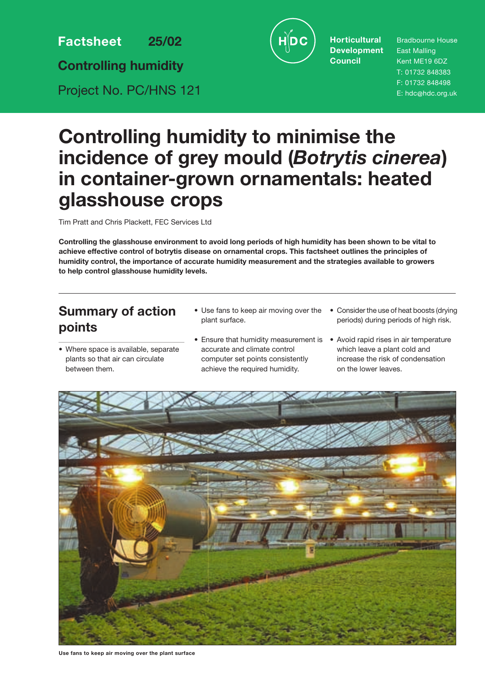**Factsheet 25/02**

**Controlling humidity**

Project No. PC/HNS 121



**Horticultural Development Council**

Bradbourne House East Malling Kent ME19 6DZ T: 01732 848383 F: 01732 848498 E: hdc@hdc.org.uk

# **Controlling humidity to minimise the incidence of grey mould (***Botrytis cinerea***) in container-grown ornamentals: heated glasshouse crops**

Tim Pratt and Chris Plackett, FEC Services Ltd

**Controlling the glasshouse environment to avoid long periods of high humidity has been shown to be vital to achieve effective control of botrytis disease on ornamental crops. This factsheet outlines the principles of humidity control, the importance of accurate humidity measurement and the strategies available to growers to help control glasshouse humidity levels.**

# **Summary of action points**

- Where space is available, separate plants so that air can circulate between them.
- Use fans to keep air moving over the plant surface.
- Ensure that humidity measurement is Avoid rapid rises in air temperature accurate and climate control computer set points consistently achieve the required humidity.
- Consider the use of heat boosts (drying periods) during periods of high risk.
	- which leave a plant cold and increase the risk of condensation on the lower leaves.



**Use fans to keep air moving over the plant surface**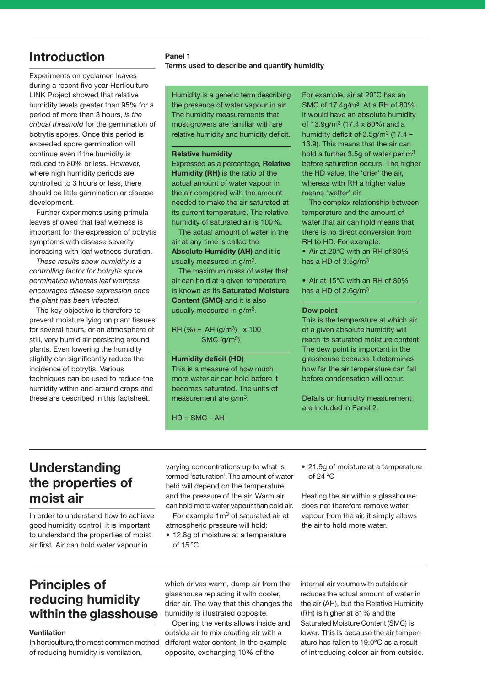# **Introduction**

Experiments on cyclamen leaves during a recent five year Horticulture LINK Project showed that relative humidity levels greater than 95% for a period of more than 3 hours, *is the critical threshold* for the germination of botrytis spores. Once this period is exceeded spore germination will continue even if the humidity is reduced to 80% or less. However, where high humidity periods are controlled to 3 hours or less, there should be little germination or disease development.

Further experiments using primula leaves showed that leaf wetness is important for the expression of botrytis symptoms with disease severity increasing with leaf wetness duration.

*These results show humidity is a controlling factor for botrytis spore germination whereas leaf wetness encourages disease expression once the plant has been infected.*

The key objective is therefore to prevent moisture lying on plant tissues for several hours, or an atmosphere of still, very humid air persisting around plants. Even lowering the humidity slightly can significantly reduce the incidence of botrytis. Various techniques can be used to reduce the humidity within and around crops and these are described in this factsheet.

### **Panel 1 Terms used to describe and quantify humidity**

Humidity is a generic term describing the presence of water vapour in air. The humidity measurements that most growers are familiar with are relative humidity and humidity deficit.

#### **Relative humidity**

Expressed as a percentage, **Relative Humidity (RH)** is the ratio of the actual amount of water vapour in the air compared with the amount needed to make the air saturated at its current temperature. The relative humidity of saturated air is 100%.

The actual amount of water in the air at any time is called the **Absolute Humidity (AH)** and it is usually measured in g/m3.

The maximum mass of water that air can hold at a given temperature is known as its **Saturated Moisture Content (SMC)** and it is also usually measured in g/m3.

 $RH (%) = AH (g/m<sup>3</sup>) x 100$ SMC (g/m3)

### **Humidity deficit (HD)**

This is a measure of how much more water air can hold before it becomes saturated. The units of measurement are g/m3.

 $HD = SMC - AH$ 

For example, air at 20°C has an SMC of 17.4g/m3. At a RH of 80% it would have an absolute humidity of  $13.9g/m^3$  (17.4 x 80%) and a humidity deficit of  $3.5q/m^3$  (17.4 – 13.9). This means that the air can hold a further 3.5g of water per m<sup>3</sup> before saturation occurs. The higher the HD value, the 'drier' the air, whereas with RH a higher value means 'wetter' air.

The complex relationship between temperature and the amount of water that air can hold means that there is no direct conversion from RH to HD. For example:

• Air at 20°C with an RH of 80% has a HD of 3.5g/m3

• Air at 15°C with an RH of 80% has a HD of 2.6g/m3

#### **Dew point**

This is the temperature at which air of a given absolute humidity will reach its saturated moisture content. The dew point is important in the glasshouse because it determines how far the air temperature can fall before condensation will occur.

Details on humidity measurement are included in Panel 2.

# **Understanding the properties of moist air**

In order to understand how to achieve good humidity control, it is important to understand the properties of moist air first. Air can hold water vapour in

varying concentrations up to what is termed 'saturation'.The amount of water held will depend on the temperature and the pressure of the air. Warm air can hold more water vapour than cold air.

For example 1m3 of saturated air at atmospheric pressure will hold:

- 12.8g of moisture at a temperature of  $15^{\circ}$ C
- 21.9g of moisture at a temperature of 24 °C

Heating the air within a glasshouse does not therefore remove water vapour from the air, it simply allows the air to hold more water.

## **Principles of reducing humidity within the glasshouse**

#### **Ventilation**

In horticulture, the most common method of reducing humidity is ventilation,

which drives warm, damp air from the glasshouse replacing it with cooler, drier air. The way that this changes the humidity is illustrated opposite.

Opening the vents allows inside and outside air to mix creating air with a different water content. In the example opposite, exchanging 10% of the

internal air volume with outside air reduces the actual amount of water in the air (AH), but the Relative Humidity (RH) is higher at 81% and the Saturated Moisture Content (SMC) is lower. This is because the air temperature has fallen to 19.0°C as a result of introducing colder air from outside.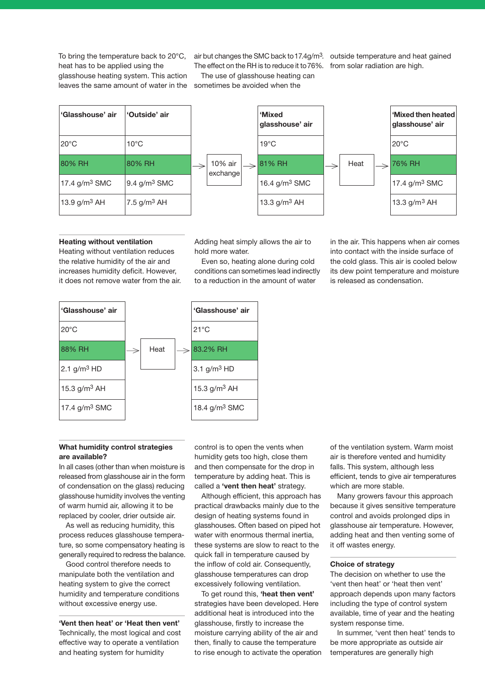To bring the temperature back to 20°C, heat has to be applied using the glasshouse heating system. This action leaves the same amount of water in the sometimes be avoided when the

air but changes the SMC back to 17.4g/m<sup>3</sup>. outside temperature and heat gained The effect on the RH is to reduce it to76%. from solar radiation are high. The use of glasshouse heating can



#### **Heating without ventilation**

Heating without ventilation reduces the relative humidity of the air and increases humidity deficit. However, it does not remove water from the air. Adding heat simply allows the air to hold more water.

Even so, heating alone during cold conditions can sometimes lead indirectly to a reduction in the amount of water

in the air. This happens when air comes into contact with the inside surface of the cold glass. This air is cooled below its dew point temperature and moisture is released as condensation.



### **What humidity control strategies are available?**

In all cases (other than when moisture is released from glasshouse air in the form of condensation on the glass) reducing glasshouse humidity involves the venting of warm humid air, allowing it to be replaced by cooler, drier outside air.

As well as reducing humidity, this process reduces glasshouse temperature, so some compensatory heating is generally required to redress the balance.

Good control therefore needs to manipulate both the ventilation and heating system to give the correct humidity and temperature conditions without excessive energy use.

**'Vent then heat' or 'Heat then vent'** Technically, the most logical and cost effective way to operate a ventilation and heating system for humidity

control is to open the vents when humidity gets too high, close them and then compensate for the drop in temperature by adding heat. This is called a **'vent then heat'** strategy.

Although efficient, this approach has practical drawbacks mainly due to the design of heating systems found in glasshouses. Often based on piped hot water with enormous thermal inertia, these systems are slow to react to the quick fall in temperature caused by the inflow of cold air. Consequently, glasshouse temperatures can drop excessively following ventilation.

To get round this, **'heat then vent'** strategies have been developed. Here additional heat is introduced into the glasshouse, firstly to increase the moisture carrying ability of the air and then, finally to cause the temperature to rise enough to activate the operation of the ventilation system. Warm moist air is therefore vented and humidity falls. This system, although less efficient, tends to give air temperatures which are more stable.

Many growers favour this approach because it gives sensitive temperature control and avoids prolonged dips in glasshouse air temperature. However, adding heat and then venting some of it off wastes energy.

### **Choice of strategy**

The decision on whether to use the 'vent then heat' or 'heat then vent' approach depends upon many factors including the type of control system available, time of year and the heating system response time.

In summer, 'vent then heat' tends to be more appropriate as outside air temperatures are generally high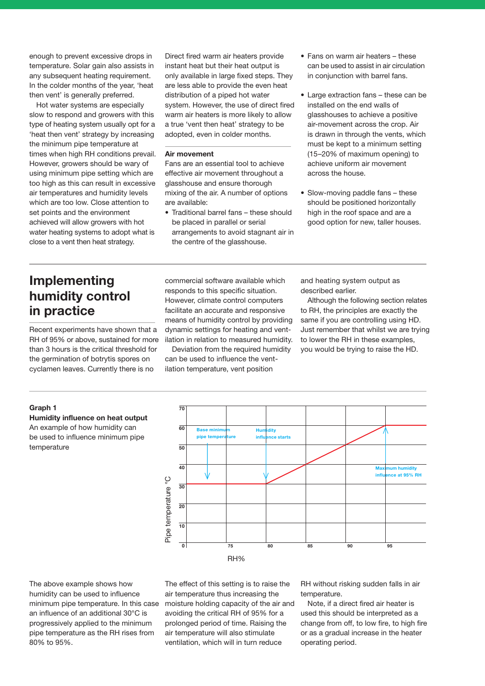enough to prevent excessive drops in temperature. Solar gain also assists in any subsequent heating requirement. In the colder months of the year, 'heat then vent' is generally preferred.

Hot water systems are especially slow to respond and growers with this type of heating system usually opt for a 'heat then vent' strategy by increasing the minimum pipe temperature at times when high RH conditions prevail. However, growers should be wary of using minimum pipe setting which are too high as this can result in excessive air temperatures and humidity levels which are too low. Close attention to set points and the environment achieved will allow growers with hot water heating systems to adopt what is close to a vent then heat strategy.

Direct fired warm air heaters provide instant heat but their heat output is only available in large fixed steps. They are less able to provide the even heat distribution of a piped hot water system. However, the use of direct fired warm air heaters is more likely to allow a true 'vent then heat' strategy to be adopted, even in colder months.

### **Air movement**

Fans are an essential tool to achieve effective air movement throughout a glasshouse and ensure thorough mixing of the air. A number of options are available:

• Traditional barrel fans – these should be placed in parallel or serial arrangements to avoid stagnant air in the centre of the glasshouse.

- Fans on warm air heaters these can be used to assist in air circulation in conjunction with barrel fans.
- Large extraction fans these can be installed on the end walls of glasshouses to achieve a positive air-movement across the crop. Air is drawn in through the vents, which must be kept to a minimum setting (15–20% of maximum opening) to achieve uniform air movement across the house.
- Slow-moving paddle fans these should be positioned horizontally high in the roof space and are a good option for new, taller houses.

# **Implementing humidity control in practice**

Recent experiments have shown that a RH of 95% or above, sustained for more than 3 hours is the critical threshold for the germination of botrytis spores on cyclamen leaves. Currently there is no

commercial software available which responds to this specific situation. However, climate control computers facilitate an accurate and responsive means of humidity control by providing dynamic settings for heating and ventilation in relation to measured humidity.

Deviation from the required humidity can be used to influence the ventilation temperature, vent position

and heating system output as described earlier.

Although the following section relates to RH, the principles are exactly the same if you are controlling using HD. Just remember that whilst we are trying to lower the RH in these examples, you would be trying to raise the HD.

### **Graph 1**

**Humidity influence on heat output** An example of how humidity can be used to influence minimum pipe temperature



The above example shows how humidity can be used to influence minimum pipe temperature. In this case an influence of an additional 30°C is progressively applied to the minimum pipe temperature as the RH rises from 80% to 95%.

The effect of this setting is to raise the air temperature thus increasing the moisture holding capacity of the air and avoiding the critical RH of 95% for a prolonged period of time. Raising the air temperature will also stimulate ventilation, which will in turn reduce

RH without risking sudden falls in air temperature.

Note, if a direct fired air heater is used this should be interpreted as a change from off, to low fire, to high fire or as a gradual increase in the heater operating period.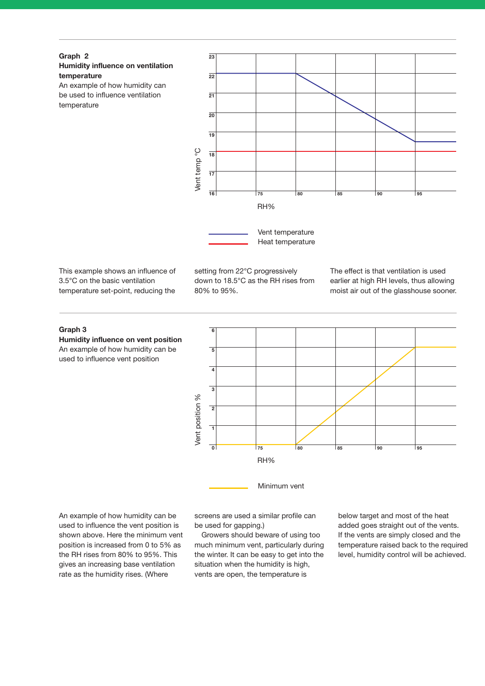

An example of how humidity can be used to influence ventilation temperature



This example shows an influence of 3.5°C on the basic ventilation temperature set-point, reducing the

setting from 22°C progressively down to 18.5°C as the RH rises from 80% to 95%.

The effect is that ventilation is used earlier at high RH levels, thus allowing moist air out of the glasshouse sooner.

### **Graph 3**

**Humidity influence on vent position** An example of how humidity can be used to influence vent position



An example of how humidity can be used to influence the vent position is shown above. Here the minimum vent position is increased from 0 to 5% as the RH rises from 80% to 95%. This gives an increasing base ventilation rate as the humidity rises. (Where

screens are used a similar profile can be used for gapping.)

Growers should beware of using too much minimum vent, particularly during the winter. It can be easy to get into the situation when the humidity is high, vents are open, the temperature is

below target and most of the heat added goes straight out of the vents. If the vents are simply closed and the temperature raised back to the required level, humidity control will be achieved.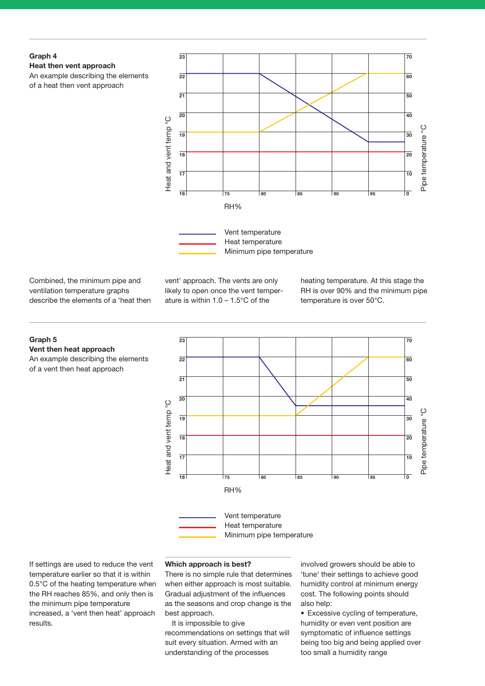### **Graph 4 Heat then vent approach**  An example describing the elements of a heat then vent approach



Combined, the minimum pipe and ventilation temperature graphs describe the elements of a 'heat then

**Vent then heat approach** 

of a vent then heat approach

**Graph 5** 

vent' approach. The vents are only likely to open once the vent temperature is within 1.0 – 1.5°C of the

heating temperature. At this stage the RH is over 90% and the minimum pipe temperature is over 50°C.



If settings are used to reduce the vent temperature earlier so that it is within 0.5°C of the heating temperature when the RH reaches 85%, and only then is the minimum pipe temperature increased, a 'vent then heat' approach results.

### **Which approach is best?**

There is no simple rule that determines when either approach is most suitable. Gradual adjustment of the influences as the seasons and crop change is the best approach.

It is impossible to give recommendations on settings that will suit every situation. Armed with an understanding of the processes

involved growers should be able to 'tune' their settings to achieve good humidity control at minimum energy cost. The following points should also help:

• Excessive cycling of temperature, humidity or even vent position are symptomatic of influence settings being too big and being applied over too small a humidity range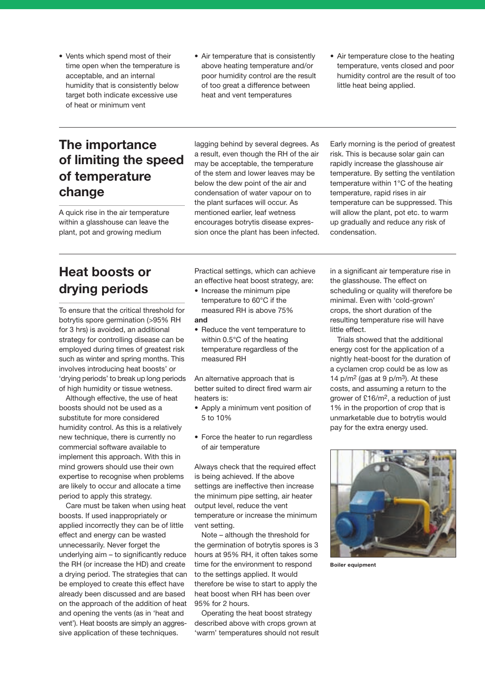- Vents which spend most of their time open when the temperature is acceptable, and an internal humidity that is consistently below target both indicate excessive use of heat or minimum vent
- Air temperature that is consistently above heating temperature and/or poor humidity control are the result of too great a difference between heat and vent temperatures
- Air temperature close to the heating temperature, vents closed and poor humidity control are the result of too little heat being applied.

# **The importance of limiting the speed of temperature change**

A quick rise in the air temperature within a glasshouse can leave the plant, pot and growing medium

lagging behind by several degrees. As a result, even though the RH of the air may be acceptable, the temperature of the stem and lower leaves may be below the dew point of the air and condensation of water vapour on to the plant surfaces will occur. As mentioned earlier, leaf wetness encourages botrytis disease expression once the plant has been infected. Early morning is the period of greatest risk. This is because solar gain can rapidly increase the glasshouse air temperature. By setting the ventilation temperature within 1°C of the heating temperature, rapid rises in air temperature can be suppressed. This will allow the plant, pot etc. to warm up gradually and reduce any risk of condensation.

# **Heat boosts or drying periods**

To ensure that the critical threshold for botrytis spore germination (>95% RH for 3 hrs) is avoided, an additional strategy for controlling disease can be employed during times of greatest risk such as winter and spring months. This involves introducing heat boosts' or 'drying periods' to break up long periods of high humidity or tissue wetness.

Although effective, the use of heat boosts should not be used as a substitute for more considered humidity control. As this is a relatively new technique, there is currently no commercial software available to implement this approach. With this in mind growers should use their own expertise to recognise when problems are likely to occur and allocate a time period to apply this strategy.

Care must be taken when using heat boosts. If used inappropriately or applied incorrectly they can be of little effect and energy can be wasted unnecessarily. Never forget the underlying aim – to significantly reduce the RH (or increase the HD) and create a drying period. The strategies that can be employed to create this effect have already been discussed and are based on the approach of the addition of heat and opening the vents (as in 'heat and vent'). Heat boosts are simply an aggressive application of these techniques.

Practical settings, which can achieve an effective heat boost strategy, are:

- Increase the minimum pipe temperature to 60°C if the measured RH is above 75% **and**
- Reduce the vent temperature to within 0.5°C of the heating temperature regardless of the measured RH

An alternative approach that is better suited to direct fired warm air heaters is:

- Apply a minimum vent position of 5 to 10%
- Force the heater to run regardless of air temperature

Always check that the required effect is being achieved. If the above settings are ineffective then increase the minimum pipe setting, air heater output level, reduce the vent temperature or increase the minimum vent setting.

Note – although the threshold for the germination of botrytis spores is 3 hours at 95% RH, it often takes some time for the environment to respond to the settings applied. It would therefore be wise to start to apply the heat boost when RH has been over 95% for 2 hours.

Operating the heat boost strategy described above with crops grown at 'warm' temperatures should not result in a significant air temperature rise in the glasshouse. The effect on scheduling or quality will therefore be minimal. Even with 'cold-grown' crops, the short duration of the resulting temperature rise will have little effect.

Trials showed that the additional energy cost for the application of a nightly heat-boost for the duration of a cyclamen crop could be as low as 14  $p/m^2$  (gas at 9  $p/m^3$ ). At these costs, and assuming a return to the grower of £16/m2, a reduction of just 1% in the proportion of crop that is unmarketable due to botrytis would pay for the extra energy used.



**Boiler equipment**